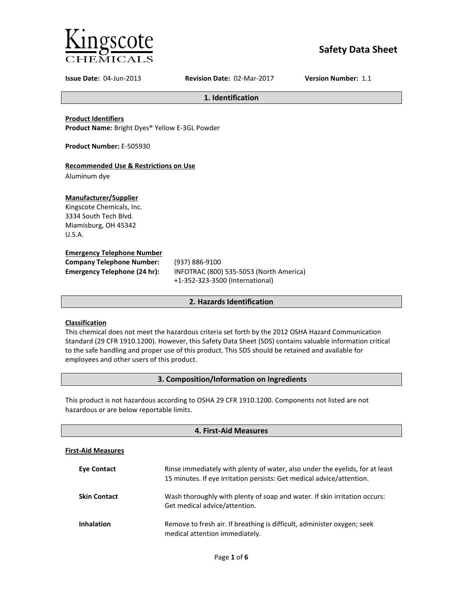

# **Safety Data Sheet**

**Issue Date:** 04-Jun-2013 **Revision Date:** 02-Mar-2017 **Version Number:** 1.1

**1. Identification**

**Product Identifiers**

**Product Name:** Bright Dyes® Yellow E-3GL Powder

**Product Number:** E-505930

# **Recommended Use & Restrictions on Use**

Aluminum dye

# **Manufacturer/Supplier**

Kingscote Chemicals, Inc. 3334 South Tech Blvd. Miamisburg, OH 45342 U.S.A.

# **Emergency Telephone Number**

| <b>Company Telephone Number:</b>    | (93)            |
|-------------------------------------|-----------------|
| <b>Emergency Telephone (24 hr):</b> | IN <sub>F</sub> |
|                                     |                 |

**Company Telephone Number:** (937) 886-9100 **Emergency Telephone (24 hr):** INFOTRAC (800) 535-5053 (North America) +1-352-323-3500 (International)

# **2. Hazards Identification**

# **Classification**

This chemical does not meet the hazardous criteria set forth by the 2012 OSHA Hazard Communication Standard (29 CFR 1910.1200). However, this Safety Data Sheet (SDS) contains valuable information critical to the safe handling and proper use of this product. This SDS should be retained and available for employees and other users of this product.

# **3. Composition/Information on Ingredients**

This product is not hazardous according to OSHA 29 CFR 1910.1200. Components not listed are not hazardous or are below reportable limits.

| 4. First-Aid Measures     |                                                                                                                                                       |  |
|---------------------------|-------------------------------------------------------------------------------------------------------------------------------------------------------|--|
| <b>First-Aid Measures</b> |                                                                                                                                                       |  |
| <b>Eve Contact</b>        | Rinse immediately with plenty of water, also under the eyelids, for at least<br>15 minutes. If eye irritation persists: Get medical advice/attention. |  |
| <b>Skin Contact</b>       | Wash thoroughly with plenty of soap and water. If skin irritation occurs:<br>Get medical advice/attention.                                            |  |
| <b>Inhalation</b>         | Remove to fresh air. If breathing is difficult, administer oxygen; seek<br>medical attention immediately.                                             |  |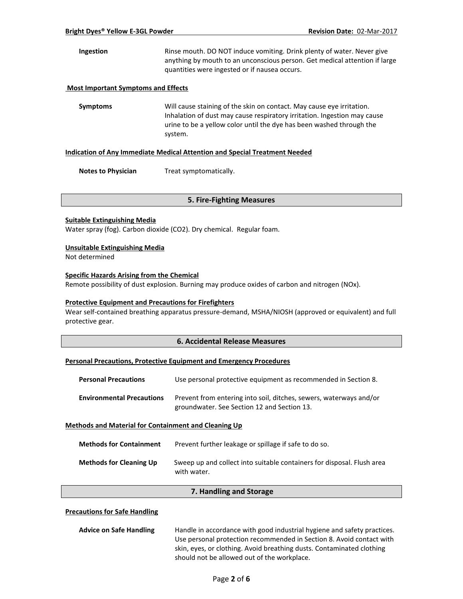**Ingestion** Rinse mouth. DO NOT induce vomiting. Drink plenty of water. Never give anything by mouth to an unconscious person. Get medical attention if large quantities were ingested or if nausea occurs.

### **Most Important Symptoms and Effects**

**Symptoms** Will cause staining of the skin on contact. May cause eye irritation. Inhalation of dust may cause respiratory irritation. Ingestion may cause urine to be a yellow color until the dye has been washed through the system.

#### **Indication of Any Immediate Medical Attention and Special Treatment Needed**

**Notes to Physician** Treat symptomatically.

### **5. Fire-Fighting Measures**

### **Suitable Extinguishing Media**

Water spray (fog). Carbon dioxide (CO2). Dry chemical. Regular foam.

### **Unsuitable Extinguishing Media**

Not determined

# **Specific Hazards Arising from the Chemical**

Remote possibility of dust explosion. Burning may produce oxides of carbon and nitrogen (NOx).

### **Protective Equipment and Precautions for Firefighters**

Wear self-contained breathing apparatus pressure-demand, MSHA/NIOSH (approved or equivalent) and full protective gear.

# **6. Accidental Release Measures**

### **Personal Precautions, Protective Equipment and Emergency Procedures**

| <b>Personal Precautions</b>                                 | Use personal protective equipment as recommended in Section 8.                                                    |
|-------------------------------------------------------------|-------------------------------------------------------------------------------------------------------------------|
| <b>Environmental Precautions</b>                            | Prevent from entering into soil, ditches, sewers, waterways and/or<br>groundwater. See Section 12 and Section 13. |
| <b>Methods and Material for Containment and Cleaning Up</b> |                                                                                                                   |

| <b>Methods for Containment</b> | Prevent further leakage or spillage if safe to do so.                                 |
|--------------------------------|---------------------------------------------------------------------------------------|
| <b>Methods for Cleaning Up</b> | Sweep up and collect into suitable containers for disposal. Flush area<br>with water. |

### **7. Handling and Storage**

### **Precautions for Safe Handling**

| <b>Advice on Safe Handling</b> | Handle in accordance with good industrial hygiene and safety practices. |
|--------------------------------|-------------------------------------------------------------------------|
|                                | Use personal protection recommended in Section 8. Avoid contact with    |
|                                | skin, eyes, or clothing. Avoid breathing dusts. Contaminated clothing   |
|                                | should not be allowed out of the workplace.                             |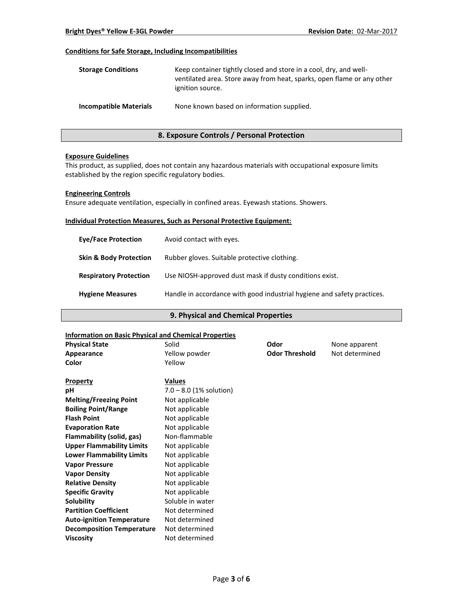# **Conditions for Safe Storage, Including Incompatibilities**

| <b>Storage Conditions</b>     | Keep container tightly closed and store in a cool, dry, and well-<br>ventilated area. Store away from heat, sparks, open flame or any other<br>ignition source. |
|-------------------------------|-----------------------------------------------------------------------------------------------------------------------------------------------------------------|
| <b>Incompatible Materials</b> | None known based on information supplied.                                                                                                                       |

# **8. Exposure Controls / Personal Protection**

### **Exposure Guidelines**

This product, as supplied, does not contain any hazardous materials with occupational exposure limits established by the region specific regulatory bodies.

### **Engineering Controls**

Ensure adequate ventilation, especially in confined areas. Eyewash stations. Showers.

### **Individual Protection Measures, Such as Personal Protective Equipment:**

| <b>Eve/Face Protection</b>        | Avoid contact with eyes.                                                |
|-----------------------------------|-------------------------------------------------------------------------|
| <b>Skin &amp; Body Protection</b> | Rubber gloves. Suitable protective clothing.                            |
| <b>Respiratory Protection</b>     | Use NIOSH-approved dust mask if dusty conditions exist.                 |
| <b>Hygiene Measures</b>           | Handle in accordance with good industrial hygiene and safety practices. |

# **9. Physical and Chemical Properties**

### **Information on Basic Physical and Chemical Properties**

| <b>Physical State</b>            | Solid                     | Odor                  | None apparent  |
|----------------------------------|---------------------------|-----------------------|----------------|
| Appearance                       | Yellow powder             | <b>Odor Threshold</b> | Not determined |
| Color                            | Yellow                    |                       |                |
| <b>Property</b>                  | <b>Values</b>             |                       |                |
| рH                               | $7.0 - 8.0$ (1% solution) |                       |                |
| <b>Melting/Freezing Point</b>    | Not applicable            |                       |                |
| <b>Boiling Point/Range</b>       | Not applicable            |                       |                |
| <b>Flash Point</b>               | Not applicable            |                       |                |
| <b>Evaporation Rate</b>          | Not applicable            |                       |                |
| Flammability (solid, gas)        | Non-flammable             |                       |                |
| <b>Upper Flammability Limits</b> | Not applicable            |                       |                |
| <b>Lower Flammability Limits</b> | Not applicable            |                       |                |
| <b>Vapor Pressure</b>            | Not applicable            |                       |                |
| <b>Vapor Density</b>             | Not applicable            |                       |                |
| <b>Relative Density</b>          | Not applicable            |                       |                |
| <b>Specific Gravity</b>          | Not applicable            |                       |                |
| Solubility                       | Soluble in water          |                       |                |
| <b>Partition Coefficient</b>     | Not determined            |                       |                |
| <b>Auto-ignition Temperature</b> | Not determined            |                       |                |
| <b>Decomposition Temperature</b> | Not determined            |                       |                |
| <b>Viscosity</b>                 | Not determined            |                       |                |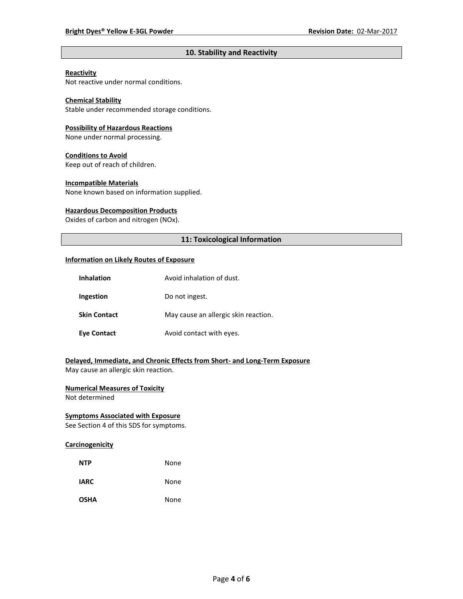# **10. Stability and Reactivity**

# **Reactivity**

Not reactive under normal conditions.

# **Chemical Stability**

Stable under recommended storage conditions.

#### **Possibility of Hazardous Reactions**

None under normal processing.

#### **Conditions to Avoid**

Keep out of reach of children.

### **Incompatible Materials**

None known based on information supplied.

### **Hazardous Decomposition Products**

Oxides of carbon and nitrogen (NOx).

# **11: Toxicological Information**

#### **Information on Likely Routes of Exposure**

| <b>Inhalation</b>   | Avoid inhalation of dust.            |
|---------------------|--------------------------------------|
| Ingestion           | Do not ingest.                       |
| <b>Skin Contact</b> | May cause an allergic skin reaction. |
| <b>Eye Contact</b>  | Avoid contact with eyes.             |

# **Delayed, Immediate, and Chronic Effects from Short- and Long-Term Exposure**

May cause an allergic skin reaction.

# **Numerical Measures of Toxicity**

Not determined

# **Symptoms Associated with Exposure**

See Section 4 of this SDS for symptoms.

# **Carcinogenicity**

| <b>NTP</b>  | None |
|-------------|------|
| <b>IARC</b> | None |
| <b>OSHA</b> | None |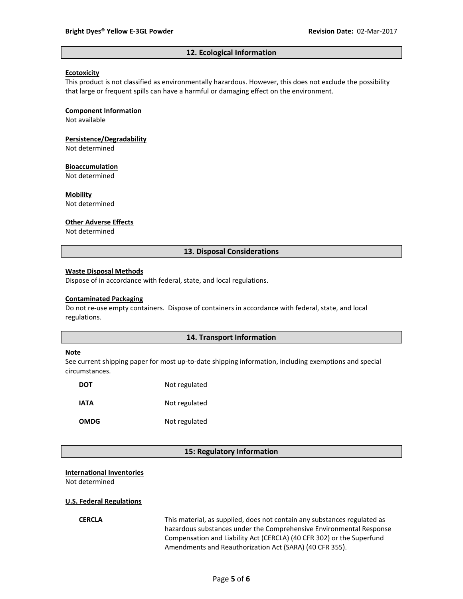#### **12. Ecological Information**

#### **Ecotoxicity**

This product is not classified as environmentally hazardous. However, this does not exclude the possibility that large or frequent spills can have a harmful or damaging effect on the environment.

#### **Component Information**

Not available

# **Persistence/Degradability**

Not determined

#### **Bioaccumulation**

Not determined

#### **Mobility**

Not determined

#### **Other Adverse Effects**

Not determined

### **13. Disposal Considerations**

#### **Waste Disposal Methods**

Dispose of in accordance with federal, state, and local regulations.

#### **Contaminated Packaging**

Do not re-use empty containers.Dispose of containers in accordance with federal, state, and local regulations.

#### **14. Transport Information**

#### **Note**

See current shipping paper for most up-to-date shipping information, including exemptions and special circumstances.

| DOT         | Not regulated |
|-------------|---------------|
| IATA        | Not regulated |
| <b>OMDG</b> | Not regulated |

### **15: Regulatory Information**

#### **International Inventories**

Not determined

#### **U.S. Federal Regulations**

**CERCLA** This material, as supplied, does not contain any substances regulated as hazardous substances under the Comprehensive Environmental Response Compensation and Liability Act (CERCLA) (40 CFR 302) or the Superfund Amendments and Reauthorization Act (SARA) (40 CFR 355).